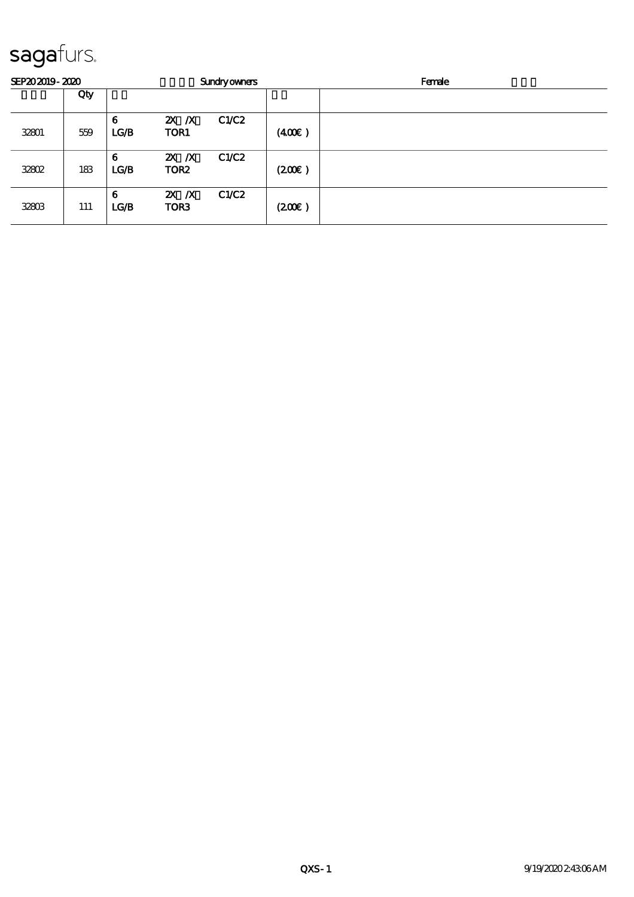# sagafurs.

| SEP202019-2020 |     | <b>Sundryowners</b> |                              |       | Female |  |
|----------------|-----|---------------------|------------------------------|-------|--------|--|
|                | Qty |                     |                              |       |        |  |
| 32801          | 559 | 6<br>LG/B           | $X$ $N$<br>TOR1              | C1/C2 | (400)  |  |
| <b>32802</b>   | 183 | 6<br>LG/B           | $X$ $N$<br>TOR <sub>2</sub>  | C1/C2 | (200)  |  |
| 32803          | 111 | 6<br>LG/B           | $2X$ $X$<br>TOR <sub>3</sub> | C1/C2 | (200)  |  |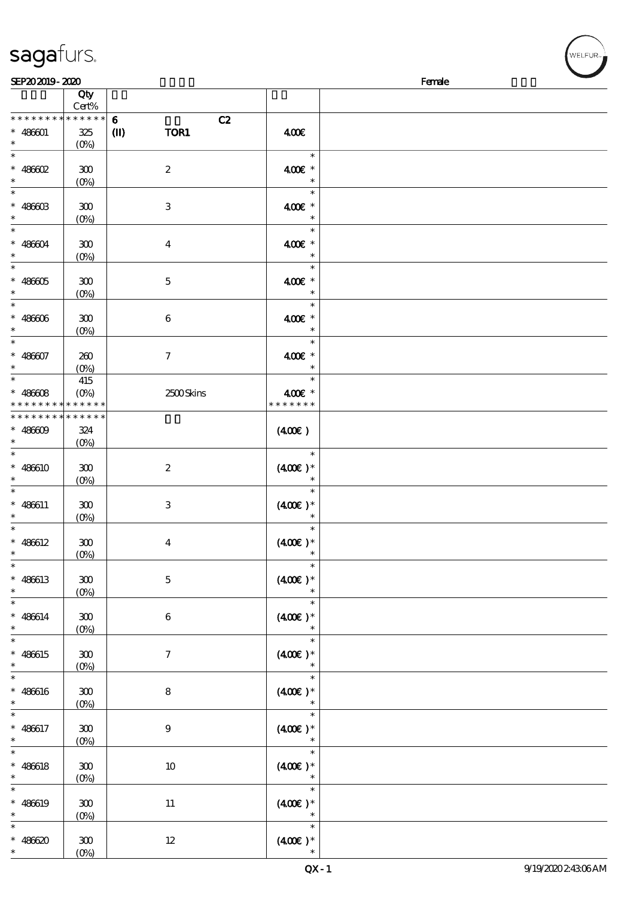|                                          | Qty<br>$Cert\%$                 |                      |                      |  |
|------------------------------------------|---------------------------------|----------------------|----------------------|--|
|                                          |                                 |                      |                      |  |
| * * * * * * * *                          | ******                          | $\bf{6}$<br>C2       |                      |  |
| $* 486001$                               | $325\,$                         | TOR1<br>$\mathbf{I}$ | 400€                 |  |
| $\ast$                                   | $(0\%)$                         |                      |                      |  |
|                                          |                                 |                      |                      |  |
| $\ast$                                   |                                 |                      | $\ast$               |  |
| $* 486602$                               | ${\bf 300}$                     | $\boldsymbol{2}$     | 400€ *               |  |
| $\ast$                                   |                                 |                      | $\ast$               |  |
|                                          | $(0\%)$                         |                      |                      |  |
| $\ast$                                   |                                 |                      | $\ast$               |  |
| $* 48600$                                | ${\bf 300}$                     | $\,3$                | 400€ *               |  |
|                                          |                                 |                      |                      |  |
| $\ast$                                   | $(0\%)$                         |                      | $\ast$               |  |
| $\ast$                                   |                                 |                      | $\ast$               |  |
|                                          |                                 |                      |                      |  |
| $* 486004$                               | ${\bf 300}$                     | $\boldsymbol{4}$     | 400€ *               |  |
| $\ast$                                   | $(0\%)$                         |                      | $\ast$               |  |
| $\ast$                                   |                                 |                      | $\ast$               |  |
|                                          |                                 |                      |                      |  |
| $* 486005$                               | $300\,$                         | $\mathbf 5$          | 400€ *               |  |
| $\ast$                                   | $(0\%)$                         |                      | $\ast$               |  |
| $\ast$                                   |                                 |                      | $\ast$               |  |
|                                          |                                 |                      |                      |  |
| $* 486006$                               | ${\bf 30}$                      | $\boldsymbol{6}$     | 400€ *               |  |
| $\ast$                                   | $(0\%)$                         |                      | $\ast$               |  |
| $\ast$                                   |                                 |                      | $\ast$               |  |
|                                          |                                 |                      |                      |  |
| $* 486607$                               | 200                             | $\boldsymbol{\tau}$  | 400€ *               |  |
| $\ast$                                   | $(O\%)$                         |                      | $\ast$               |  |
|                                          |                                 |                      |                      |  |
| $\ast$                                   | 415                             |                      | $\ast$               |  |
| $* 48608$                                | $(O\%)$                         | 2500Skins            | 400€ *               |  |
| * * * * * * * * <mark>* * * * * *</mark> |                                 |                      | * * * * * * *        |  |
|                                          |                                 |                      |                      |  |
| * * * * * * * *                          | * * * * * *                     |                      |                      |  |
| $* 48609$                                | 324                             |                      | $(400\varepsilon)$   |  |
| $\ast$                                   |                                 |                      |                      |  |
|                                          | $(0\%)$                         |                      |                      |  |
| $\overline{\ast}$                        |                                 |                      | $\ast$               |  |
| $* 486610$                               | ${\bf 300}$                     | $\boldsymbol{2}$     | $(400\varepsilon)*$  |  |
|                                          |                                 |                      |                      |  |
| $\ast$                                   | $(0\%)$                         |                      | $\ast$               |  |
| $\ast$                                   |                                 |                      | $\ast$               |  |
|                                          |                                 |                      |                      |  |
| $* 486611$                               | 300                             | $\bf{3}$             | $(400\varepsilon)*$  |  |
| $\ast$                                   | $(0\%)$                         |                      | $\ast$               |  |
| $\ast$                                   |                                 |                      | $\ast$               |  |
|                                          |                                 |                      |                      |  |
| $* 486612$                               | ${\bf 30}$                      | $\boldsymbol{4}$     | $(400\varepsilon)*$  |  |
| $\ast$                                   | $(0\%)$                         |                      | $\ast$               |  |
| $\ast$                                   |                                 |                      |                      |  |
|                                          |                                 |                      |                      |  |
| $* 486613$                               | ${\bf 300}$                     | $\mathbf 5$          | $(400E)*$            |  |
| $\ast$                                   | $(0\%)$                         |                      |                      |  |
| $\ast$                                   |                                 |                      |                      |  |
|                                          |                                 |                      |                      |  |
| $* 486614$                               | ${\bf 300}$                     | $\,6\,$              | $(400)$ *            |  |
| $\ast$                                   | $(0\%)$                         |                      | $\ast$               |  |
| $\overline{\ast}$                        |                                 |                      | $\overline{\ast}$    |  |
|                                          |                                 |                      |                      |  |
| $* 486615$                               | ${\bf 30}$                      | $\boldsymbol{7}$     | $(400\varepsilon)*$  |  |
| $\ast$                                   | (0%)                            |                      | $\ast$               |  |
| $\overline{\phantom{0}}$                 |                                 |                      |                      |  |
|                                          |                                 |                      | $\ast$               |  |
| $* 486616$                               | ${\bf 30}$                      | $\bf 8$              | $(400\varepsilon)*$  |  |
| $\ast$                                   |                                 |                      | $\ast$               |  |
|                                          | $(0\%)$                         |                      |                      |  |
| $\overline{\ast}$                        |                                 |                      | $\ast$               |  |
| $* 486617$                               | ${\bf 300}$                     | $\boldsymbol{9}$     | $(400\varepsilon)*$  |  |
|                                          |                                 |                      |                      |  |
| $\ast$                                   | (0%)                            |                      | $\ast$               |  |
| $\ast$                                   |                                 |                      | $\ast$               |  |
| $* 486618$                               | ${\bf 300}$                     | $10\,$               | $(400)$ *            |  |
|                                          |                                 |                      |                      |  |
| $\ast$                                   | $(0\%)$                         |                      | $\ast$               |  |
| $\ast$                                   |                                 |                      | $\ast$               |  |
| $* 486619$                               |                                 |                      |                      |  |
|                                          | ${\bf 300}$                     | $11\,$               | $(400E)*$            |  |
| $\ast$                                   | $(0\%)$                         |                      | $\ast$               |  |
| $\ast$                                   |                                 |                      | $\ast$               |  |
|                                          |                                 |                      |                      |  |
| $* 486620$                               | ${\bf 30}$                      | $12\,$               | $(400\varepsilon)^*$ |  |
| $\ast$                                   | $(O\!\!\!\!\!\!\backslash\rho)$ |                      |                      |  |

 $SEP202019 - 2020$ 

### sagafurs.

(0%)

### QX-1 9/19/2022 43:06 AM

.<br>FI FUR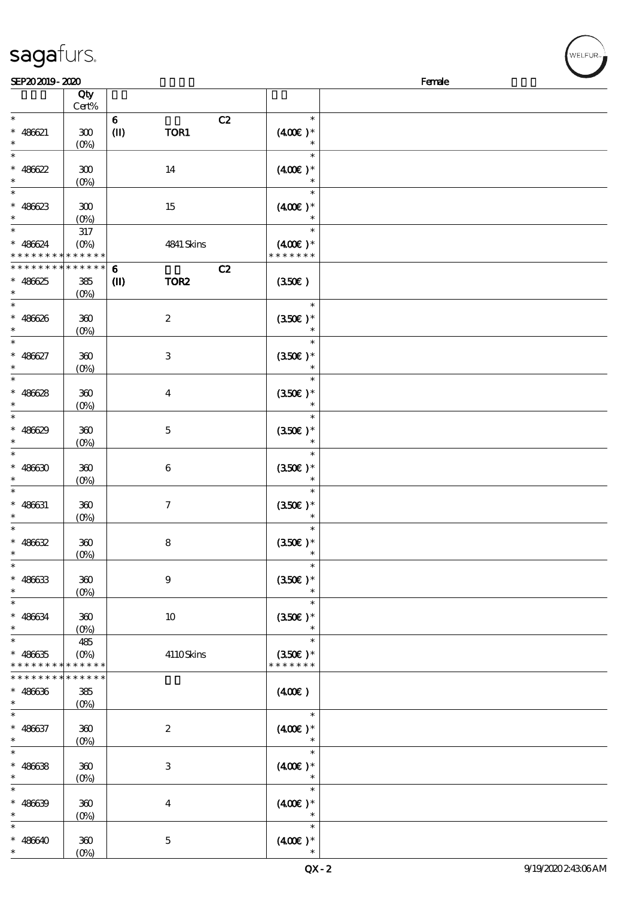|                                            | Cert%            |                                  |                     |  |
|--------------------------------------------|------------------|----------------------------------|---------------------|--|
| $\ast$                                     |                  | C2<br>$\bf{6}$                   | $\ast$              |  |
| * $486621$                                 | 300              | TOR1<br>$\mathbf{I}$             | $(400E)*$           |  |
| $\ast$                                     |                  |                                  | $\ast$              |  |
| $\ast$                                     | $(0\%)$          |                                  |                     |  |
|                                            |                  |                                  | $\ast$              |  |
| * $486622$                                 | 300              | 14                               | $(400\varepsilon)*$ |  |
| $\ast$                                     | $(0\%)$          |                                  | $\ast$              |  |
| $\ast$                                     |                  |                                  | $\ast$              |  |
| $* 486623$                                 | $300\,$          | 15                               | $(400\varepsilon)*$ |  |
| $\ast$                                     |                  |                                  |                     |  |
|                                            | $(O\%)$          |                                  |                     |  |
| $*$                                        | 317              |                                  | $\ast$              |  |
| $* 486624$                                 | $(O\%)$          | 4841 Skins                       | $(400\varepsilon)*$ |  |
| * * * * * * * * <mark>* * * * * *</mark> * |                  |                                  | * * * * * * *       |  |
| * * * * * * * *                            | * * * * * *      | C2                               |                     |  |
|                                            |                  | $\bf{6}$                         |                     |  |
| $* 486625$                                 | 385              | $\mathbf{I}$<br>TOR <sub>2</sub> | (350)               |  |
| $\ast$                                     | $(0\%)$          |                                  |                     |  |
| $\ast$                                     |                  |                                  | $\ast$              |  |
| $* 486626$                                 | $360\,$          | $\boldsymbol{2}$                 | $(350E)*$           |  |
| $\ast$                                     |                  |                                  |                     |  |
|                                            | $(O_0)$          |                                  |                     |  |
| $\ast$                                     |                  |                                  | $\ast$              |  |
| $* 486627$                                 | 360              | $\ensuremath{\mathbf{3}}$        | $(350\epsilon)*$    |  |
| $\ast$                                     | $(0\%)$          |                                  | $\ast$              |  |
| $\ast$                                     |                  |                                  | $\ast$              |  |
|                                            |                  |                                  |                     |  |
| $* 486628$                                 | $360\,$          | $\boldsymbol{4}$                 | $(350E)*$           |  |
| $\ast$                                     | $(0\%)$          |                                  | $\ast$              |  |
| $\ast$                                     |                  |                                  | $\ast$              |  |
|                                            |                  |                                  |                     |  |
| $* 486629$                                 | $300$            | $\mathbf 5$                      | $(350E)*$           |  |
| $\ast$                                     | $(O\%)$          |                                  |                     |  |
| $\ast$                                     |                  |                                  | $\ast$              |  |
| $* 48630$                                  | 300              | $\boldsymbol{6}$                 | $(350\epsilon)*$    |  |
| $\ast$                                     | $(0\%)$          |                                  | $\ast$              |  |
| $\ast$                                     |                  |                                  | $\ast$              |  |
|                                            |                  |                                  |                     |  |
| $* 486631$                                 | $360\,$          | $\boldsymbol{7}$                 | $(350\epsilon)*$    |  |
| $\ast$                                     | $(O\%)$          |                                  |                     |  |
| $\ast$                                     |                  |                                  | $\ast$              |  |
| * $486632$                                 | $360\,$          | $\bf 8$                          | $(350\epsilon)*$    |  |
|                                            |                  |                                  |                     |  |
| $\ast$                                     | $(0\%)$          |                                  |                     |  |
| $\ast$                                     |                  |                                  | $\ast$              |  |
| $* 486633$                                 | $300\,$          | 9                                | $(350E)^*$          |  |
| $\ast$                                     | $(0\%)$          |                                  | $\ast$              |  |
| $*$                                        |                  |                                  | $\ast$              |  |
|                                            |                  |                                  |                     |  |
| $* 486634$                                 | $360\,$          | $10\,$                           | $(350\epsilon)*$    |  |
| $\ast$                                     | $(0\%)$          |                                  | $\ast$              |  |
| $\ast$                                     | 485              |                                  | $\ast$              |  |
| $* 486635$                                 | $(O\%)$          | 4110Skins                        | $(350\epsilon)*$    |  |
| * * * * * * * *                            | * * * * * *      |                                  | * * * * * * *       |  |
|                                            | * * * * * *      |                                  |                     |  |
| * * * * * * * *                            |                  |                                  |                     |  |
| $* 486636$                                 | 385              |                                  | (400)               |  |
| $\ast$                                     | $(0\%)$          |                                  |                     |  |
| $\ast$                                     |                  |                                  | $\ast$              |  |
|                                            |                  |                                  |                     |  |
| $* 486637$                                 | $360\,$          | $\boldsymbol{2}$                 | $(400)$ *           |  |
| $\ast$                                     | $(O\!/\!\delta)$ |                                  |                     |  |
| $\ast$                                     |                  |                                  | $\ast$              |  |
| $* 486638$                                 | $360\,$          | $\ensuremath{\mathbf{3}}$        | $(400)$ *           |  |
| $\ast$                                     | $(O_0)$          |                                  |                     |  |
|                                            |                  |                                  |                     |  |
| $\ast$                                     |                  |                                  | $\ast$              |  |
| $* 486639$                                 | $360\,$          | $\boldsymbol{4}$                 | $(400E)*$           |  |
| $\ast$                                     | $(0\%)$          |                                  | $\ast$              |  |
| $\ast$                                     |                  |                                  | $\ast$              |  |
|                                            |                  |                                  |                     |  |
| $* 486640$                                 | 360              | $\mathbf 5$                      | $(400\varepsilon)*$ |  |
| $\ast$                                     | $(O\%)$          |                                  |                     |  |

 $\overline{\phantom{a}}$ 

 $SEP202019 - 2020$ 

说明 价格

# sagafurs.

顺序号 Qty

(0%)

#### QX-2 9/19/2020 2:43:06 AM

**NELFUR**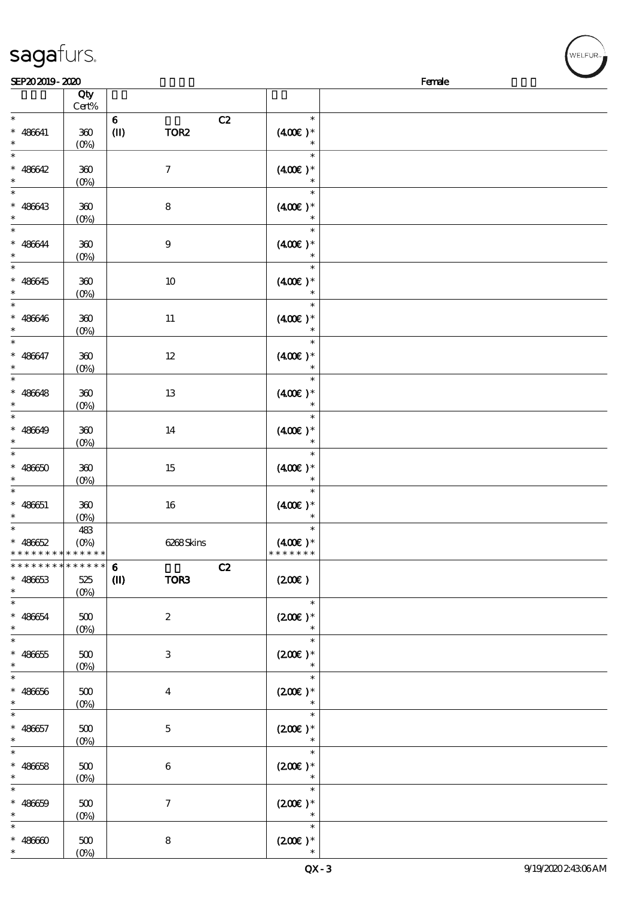| SEP202019-2020<br>Female                    |                |                  |                  |                                       |  |
|---------------------------------------------|----------------|------------------|------------------|---------------------------------------|--|
|                                             | Qty<br>Cert%   |                  |                  |                                       |  |
| $\ast$                                      |                | $\bf 6$          | C2               | $\ast$                                |  |
| $* 486641$                                  | 360            | $\mathbf{I}$     | TOR <sub>2</sub> | $(400\varepsilon)*$                   |  |
| $\ast$                                      | $(0\%)$        |                  |                  | $\ast$                                |  |
| $\ast$                                      |                |                  |                  | $\ast$                                |  |
| $* 486642$<br>$\ast$                        | 360            |                  | $\boldsymbol{7}$ | $(400)$ *<br>$\ast$                   |  |
| $\ast$                                      | $(0\%)$        |                  |                  | $\ast$                                |  |
| $* 486643$                                  | $300\,$        | ${\bf 8}$        |                  | $(400\varepsilon)*$                   |  |
| $\ast$                                      | $(0\%)$        |                  |                  | $\ast$                                |  |
| $\ast$                                      |                |                  |                  | $\ast$                                |  |
| $* 486644$                                  | $360\,$        | $\boldsymbol{9}$ |                  | $(400\varepsilon)*$                   |  |
| $\ast$<br>$\ast$                            | $(0\%)$        |                  |                  | $\ast$<br>$\ast$                      |  |
|                                             |                |                  |                  |                                       |  |
| $* 486645$<br>$\ast$                        | 360<br>$(0\%)$ |                  | $10\,$           | $(400\varepsilon)*$<br>$\ast$         |  |
| $\ast$                                      |                |                  |                  | $\ast$                                |  |
| $* 486646$                                  | $360\,$        |                  | $11\,$           | $(400E)*$                             |  |
| $\ast$                                      | $(0\%)$        |                  |                  | $\ast$                                |  |
| $\ast$                                      |                |                  |                  | $\ast$                                |  |
| $* 486647$<br>$\ast$                        | $360\,$        |                  | $12\,$           | $(400E)*$                             |  |
| $\ast$                                      | $(0\%)$        |                  |                  | $\ast$                                |  |
| $* 486648$                                  | 360            |                  | 13               | $(400\varepsilon)*$                   |  |
| $\ast$                                      | $(0\%)$        |                  |                  | $\ast$                                |  |
| $\ast$                                      |                |                  |                  | $\ast$                                |  |
| $* 486649$                                  | 360            |                  | $14\,$           | $(400\varepsilon)*$                   |  |
| $\ast$<br>$\ast$                            | $(0\%)$        |                  |                  | $\ast$<br>$\ast$                      |  |
| $* 48650$                                   | 360            |                  | $15\,$           | $(400\varepsilon)^*$                  |  |
| $\ast$                                      | $(0\%)$        |                  |                  | $\ast$                                |  |
| $\ast$                                      |                |                  |                  | $\ast$                                |  |
| $* 486651$                                  | 300            |                  | 16               | $(400\varepsilon)*$                   |  |
| $\ast$                                      | $(0\%)$        |                  |                  | $\ast$                                |  |
| $\ast$                                      | 483            |                  |                  | $\ast$                                |  |
| $* 486652$<br>* * * * * * * * * * * * * * * | $(O\%)$        |                  | 6268Skins        | $(400\varepsilon)^*$<br>* * * * * * * |  |
| * * * * * * * * * * * * * * *               |                | $\bf{6}$         | C2               |                                       |  |
| $* 48663$                                   | $525\,$        | $\mathbf{I}$     | TOR3             | (200E)                                |  |
| $\ast$                                      | $(0\%)$        |                  |                  |                                       |  |
| $\ast$                                      |                |                  |                  | $\ast$                                |  |
| $* 486654$                                  | 500            |                  | $\boldsymbol{2}$ | $(200E)*$                             |  |
| $\ast$<br>$\ast$                            | $(O\% )$       |                  |                  | $\ast$                                |  |
| $* 486655$                                  | 500            |                  | $\,3$            | $(200E)*$                             |  |
| $\ast$                                      | $(0\%)$        |                  |                  | $\ast$                                |  |
| $\ast$                                      |                |                  |                  | $\ast$                                |  |
| $* 48666$                                   | $500$          |                  | $\bf{4}$         | $(200\varepsilon)*$                   |  |
| $\ast$                                      | $(0\%)$        |                  |                  | $\ast$                                |  |
| $\ast$                                      |                |                  |                  | $\ast$                                |  |
| $* 486657$<br>$\ast$                        | 500<br>$(O\%)$ |                  | $\mathbf{5}$     | $(200\varepsilon)*$<br>$\ast$         |  |
| $\ast$                                      |                |                  |                  | $\ast$                                |  |
| $* 486658$                                  | $500\,$        |                  | 6                | $(200\varepsilon)*$                   |  |
| $\ast$                                      | $(0\%)$        |                  |                  | $\ast$                                |  |
| $\ast$                                      |                |                  |                  | $\ast$                                |  |
| $* 486659$<br>$\ast$                        | $500$          |                  | $\tau$           | $(200\varepsilon)*$<br>$\ast$         |  |
|                                             | $(0\%)$        |                  |                  | $\ast$                                |  |
| $* 48660$                                   | 500            | 8                |                  | $(200\varepsilon)^*$                  |  |
| $\ast$                                      | $(O_0)$        |                  |                  | $\ast$                                |  |

# sagafurs.

'<br>WELFUR∍